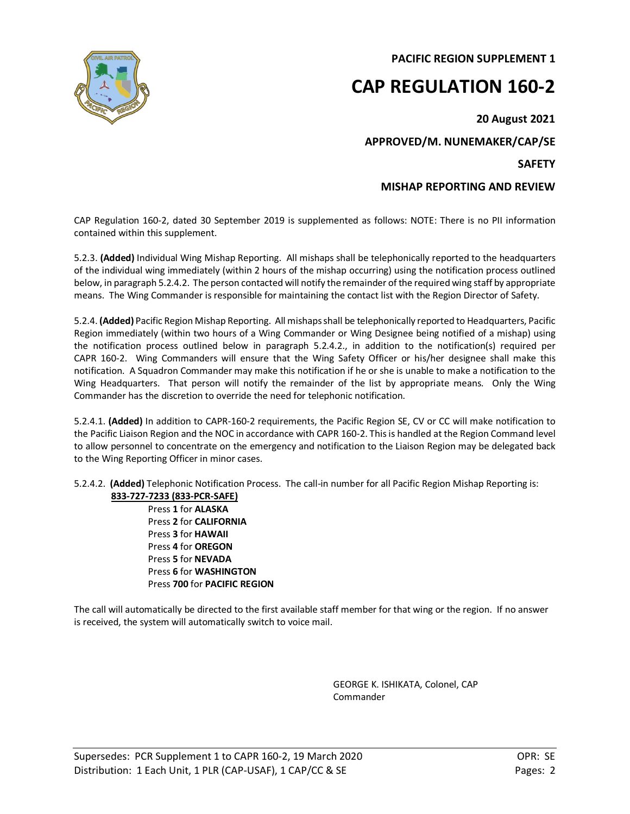**PACIFIC REGION SUPPLEMENT 1**

## **CAP REGULATION 160-2**

**20 August 2021**

**APPROVED/M. NUNEMAKER/CAP/SE**

**SAFETY**

## **MISHAP REPORTING AND REVIEW**

CAP Regulation 160-2, dated 30 September 2019 is supplemented as follows: NOTE: There is no PII information contained within this supplement.

5.2.3. **(Added)** Individual Wing Mishap Reporting. All mishaps shall be telephonically reported to the headquarters of the individual wing immediately (within 2 hours of the mishap occurring) using the notification process outlined below, in paragraph 5.2.4.2. The person contacted will notify the remainder of the required wing staff by appropriate means. The Wing Commander is responsible for maintaining the contact list with the Region Director of Safety.

5.2.4. **(Added)** Pacific Region Mishap Reporting. All mishaps shall be telephonically reported to Headquarters, Pacific Region immediately (within two hours of a Wing Commander or Wing Designee being notified of a mishap) using the notification process outlined below in paragraph 5.2.4.2., in addition to the notification(s) required per CAPR 160-2. Wing Commanders will ensure that the Wing Safety Officer or his/her designee shall make this notification. A Squadron Commander may make this notification if he or she is unable to make a notification to the Wing Headquarters. That person will notify the remainder of the list by appropriate means. Only the Wing Commander has the discretion to override the need for telephonic notification.

5.2.4.1. **(Added)** In addition to CAPR-160-2 requirements, the Pacific Region SE, CV or CC will make notification to the Pacific Liaison Region and the NOC in accordance with CAPR 160-2. This is handled at the Region Command level to allow personnel to concentrate on the emergency and notification to the Liaison Region may be delegated back to the Wing Reporting Officer in minor cases.

5.2.4.2. **(Added)** Telephonic Notification Process. The call-in number for all Pacific Region Mishap Reporting is: **833-727-7233 (833-PCR-SAFE)**

Press **1** for **ALASKA** Press **2** for **CALIFORNIA** Press **3** for **HAWAII** Press **4** for **OREGON** Press **5** for **NEVADA** Press **6** for **WASHINGTON** Press **700** for **PACIFIC REGION**

The call will automatically be directed to the first available staff member for that wing or the region. If no answer is received, the system will automatically switch to voice mail.

> GEORGE K. ISHIKATA, Colonel, CAP Commander